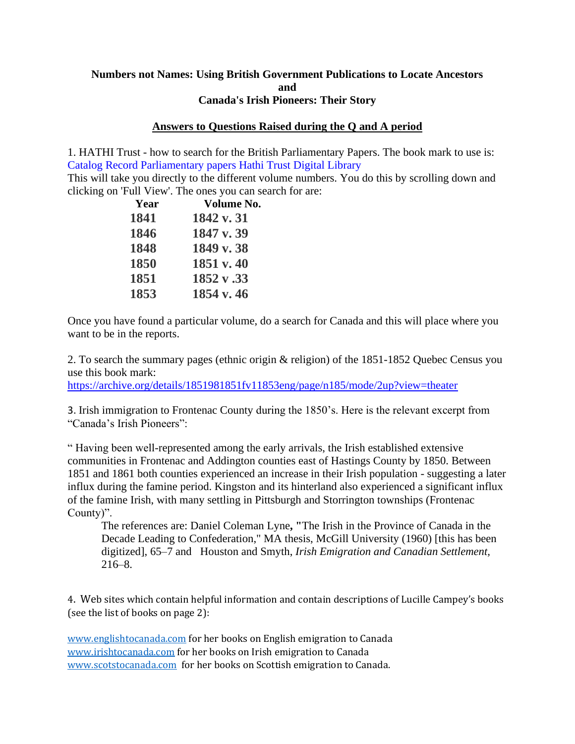# **Numbers not Names: Using British Government Publications to Locate Ancestors and Canada's Irish Pioneers: Their Story**

# **Answers to Questions Raised during the Q and A period**

1. HATHI Trust - how to search for the British Parliamentary Papers. The book mark to use is: Catalog Record Parliamentary papers Hathi Trust Digital Library

This will take you directly to the different volume numbers. You do this by scrolling down and clicking on 'Full View'. The ones you can search for are:

| Year | <b>Volume No.</b> |
|------|-------------------|
| 1841 | 1842 v. 31        |
| 1846 | 1847 v.39         |
| 1848 | 1849 v.38         |
| 1850 | 1851 v. 40        |
| 1851 | 1852 v.33         |
| 1853 | 1854 v. 46        |
|      |                   |

Once you have found a particular volume, do a search for Canada and this will place where you want to be in the reports.

2. To search the summary pages (ethnic origin & religion) of the 1851-1852 Quebec Census you use this book mark:

<https://archive.org/details/1851981851fv11853eng/page/n185/mode/2up?view=theater>

3. Irish immigration to Frontenac County during the 1850's. Here is the relevant excerpt from "Canada's Irish Pioneers":

" Having been well-represented among the early arrivals, the Irish established extensive communities in Frontenac and Addington counties east of Hastings County by 1850. Between 1851 and 1861 both counties experienced an increase in their Irish population - suggesting a later influx during the famine period. Kingston and its hinterland also experienced a significant influx of the famine Irish, with many settling in Pittsburgh and Storrington townships (Frontenac County)".

The references are: Daniel Coleman Lyne**, "**The Irish in the Province of Canada in the Decade Leading to Confederation," MA thesis, McGill University (1960) [this has been digitized], 65–7 and Houston and Smyth, *Irish Emigration and Canadian Settlement,*  216–8.

4. Web sites which contain helpful information and contain descriptions of Lucille Campey's books (see the list of books on page 2):

[www.englishtocanada.com](http://www.englishtocanada.com/) for her books on English emigration to Canada [www.irishtocanada.com](http://www.irishtocanada.com/) for her books on Irish emigration to Canada [www.scotstocanada.com](http://www.scotstocanada.com/) for her books on Scottish emigration to Canada.